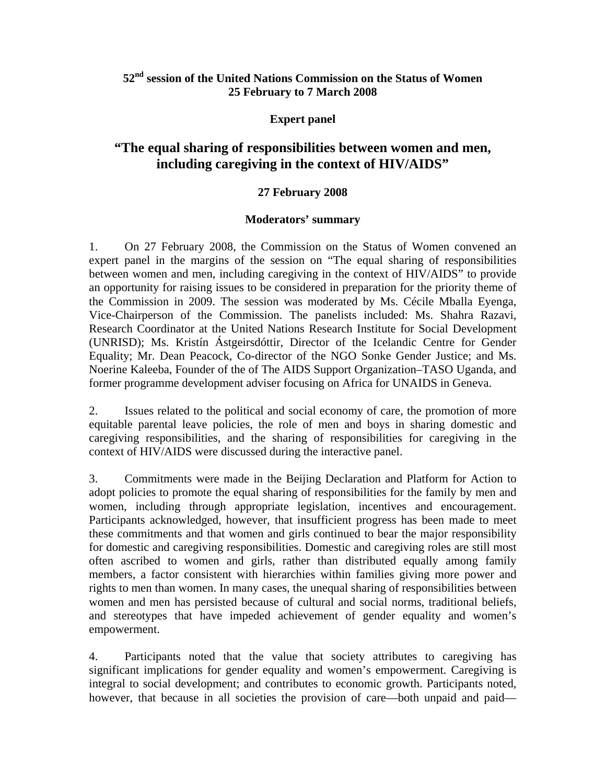## **52nd session of the United Nations Commission on the Status of Women 25 February to 7 March 2008**

### **Expert panel**

# **"The equal sharing of responsibilities between women and men, including caregiving in the context of HIV/AIDS"**

### **27 February 2008**

### **Moderators' summary**

1. On 27 February 2008, the Commission on the Status of Women convened an expert panel in the margins of the session on "The equal sharing of responsibilities between women and men, including caregiving in the context of HIV/AIDS" to provide an opportunity for raising issues to be considered in preparation for the priority theme of the Commission in 2009. The session was moderated by Ms. Cécile Mballa Eyenga, Vice-Chairperson of the Commission. The panelists included: Ms. Shahra Razavi, Research Coordinator at the United Nations Research Institute for Social Development (UNRISD); Ms. Kristín Ástgeirsdóttir, Director of the Icelandic Centre for Gender Equality; Mr. Dean Peacock, Co-director of the NGO Sonke Gender Justice; and Ms. Noerine Kaleeba, Founder of the of The AIDS Support Organization–TASO Uganda, and former programme development adviser focusing on Africa for UNAIDS in Geneva.

2. Issues related to the political and social economy of care, the promotion of more equitable parental leave policies, the role of men and boys in sharing domestic and caregiving responsibilities, and the sharing of responsibilities for caregiving in the context of HIV/AIDS were discussed during the interactive panel.

3. Commitments were made in the Beijing Declaration and Platform for Action to adopt policies to promote the equal sharing of responsibilities for the family by men and women, including through appropriate legislation, incentives and encouragement. Participants acknowledged, however, that insufficient progress has been made to meet these commitments and that women and girls continued to bear the major responsibility for domestic and caregiving responsibilities. Domestic and caregiving roles are still most often ascribed to women and girls, rather than distributed equally among family members, a factor consistent with hierarchies within families giving more power and rights to men than women. In many cases, the unequal sharing of responsibilities between women and men has persisted because of cultural and social norms, traditional beliefs, and stereotypes that have impeded achievement of gender equality and women's empowerment.

4. Participants noted that the value that society attributes to caregiving has significant implications for gender equality and women's empowerment. Caregiving is integral to social development; and contributes to economic growth. Participants noted, however, that because in all societies the provision of care—both unpaid and paid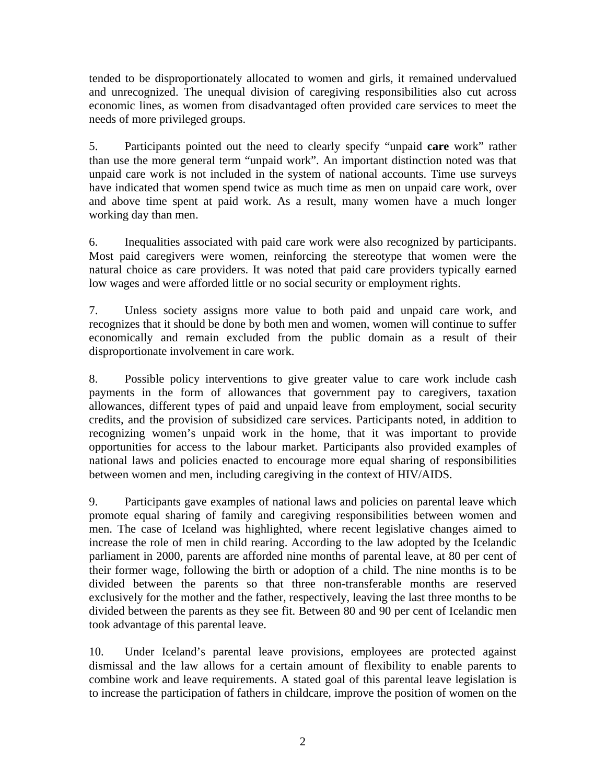tended to be disproportionately allocated to women and girls, it remained undervalued and unrecognized. The unequal division of caregiving responsibilities also cut across economic lines, as women from disadvantaged often provided care services to meet the needs of more privileged groups.

5. Participants pointed out the need to clearly specify "unpaid **care** work" rather than use the more general term "unpaid work". An important distinction noted was that unpaid care work is not included in the system of national accounts. Time use surveys have indicated that women spend twice as much time as men on unpaid care work, over and above time spent at paid work. As a result, many women have a much longer working day than men.

6. Inequalities associated with paid care work were also recognized by participants. Most paid caregivers were women, reinforcing the stereotype that women were the natural choice as care providers. It was noted that paid care providers typically earned low wages and were afforded little or no social security or employment rights.

7. Unless society assigns more value to both paid and unpaid care work, and recognizes that it should be done by both men and women, women will continue to suffer economically and remain excluded from the public domain as a result of their disproportionate involvement in care work.

8. Possible policy interventions to give greater value to care work include cash payments in the form of allowances that government pay to caregivers, taxation allowances, different types of paid and unpaid leave from employment, social security credits, and the provision of subsidized care services. Participants noted, in addition to recognizing women's unpaid work in the home, that it was important to provide opportunities for access to the labour market. Participants also provided examples of national laws and policies enacted to encourage more equal sharing of responsibilities between women and men, including caregiving in the context of HIV/AIDS.

9. Participants gave examples of national laws and policies on parental leave which promote equal sharing of family and caregiving responsibilities between women and men. The case of Iceland was highlighted, where recent legislative changes aimed to increase the role of men in child rearing. According to the law adopted by the Icelandic parliament in 2000, parents are afforded nine months of parental leave, at 80 per cent of their former wage, following the birth or adoption of a child. The nine months is to be divided between the parents so that three non-transferable months are reserved exclusively for the mother and the father, respectively, leaving the last three months to be divided between the parents as they see fit. Between 80 and 90 per cent of Icelandic men took advantage of this parental leave.

10. Under Iceland's parental leave provisions, employees are protected against dismissal and the law allows for a certain amount of flexibility to enable parents to combine work and leave requirements. A stated goal of this parental leave legislation is to increase the participation of fathers in childcare, improve the position of women on the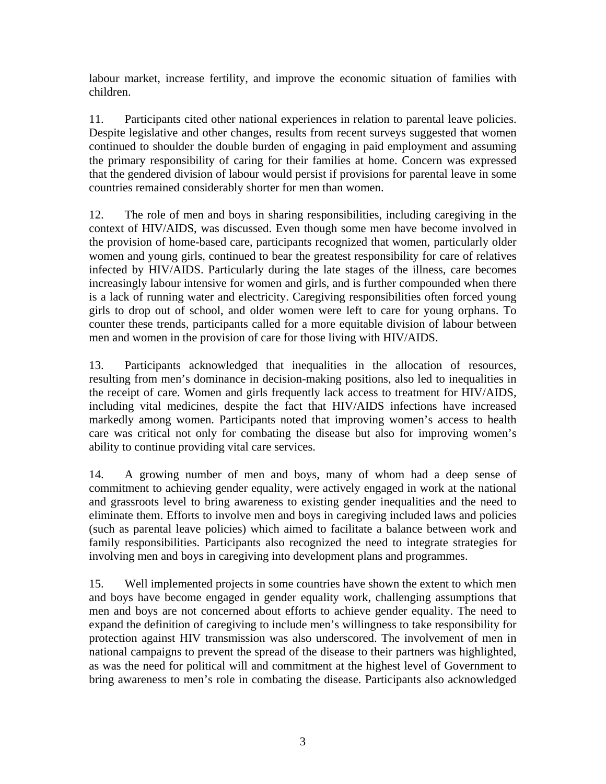labour market, increase fertility, and improve the economic situation of families with children.

11. Participants cited other national experiences in relation to parental leave policies. Despite legislative and other changes, results from recent surveys suggested that women continued to shoulder the double burden of engaging in paid employment and assuming the primary responsibility of caring for their families at home. Concern was expressed that the gendered division of labour would persist if provisions for parental leave in some countries remained considerably shorter for men than women.

12. The role of men and boys in sharing responsibilities, including caregiving in the context of HIV/AIDS, was discussed. Even though some men have become involved in the provision of home-based care, participants recognized that women, particularly older women and young girls, continued to bear the greatest responsibility for care of relatives infected by HIV/AIDS. Particularly during the late stages of the illness, care becomes increasingly labour intensive for women and girls, and is further compounded when there is a lack of running water and electricity. Caregiving responsibilities often forced young girls to drop out of school, and older women were left to care for young orphans. To counter these trends, participants called for a more equitable division of labour between men and women in the provision of care for those living with HIV/AIDS.

13. Participants acknowledged that inequalities in the allocation of resources, resulting from men's dominance in decision-making positions, also led to inequalities in the receipt of care. Women and girls frequently lack access to treatment for HIV/AIDS, including vital medicines, despite the fact that HIV/AIDS infections have increased markedly among women. Participants noted that improving women's access to health care was critical not only for combating the disease but also for improving women's ability to continue providing vital care services.

14. A growing number of men and boys, many of whom had a deep sense of commitment to achieving gender equality, were actively engaged in work at the national and grassroots level to bring awareness to existing gender inequalities and the need to eliminate them. Efforts to involve men and boys in caregiving included laws and policies (such as parental leave policies) which aimed to facilitate a balance between work and family responsibilities. Participants also recognized the need to integrate strategies for involving men and boys in caregiving into development plans and programmes.

15. Well implemented projects in some countries have shown the extent to which men and boys have become engaged in gender equality work, challenging assumptions that men and boys are not concerned about efforts to achieve gender equality. The need to expand the definition of caregiving to include men's willingness to take responsibility for protection against HIV transmission was also underscored. The involvement of men in national campaigns to prevent the spread of the disease to their partners was highlighted, as was the need for political will and commitment at the highest level of Government to bring awareness to men's role in combating the disease. Participants also acknowledged